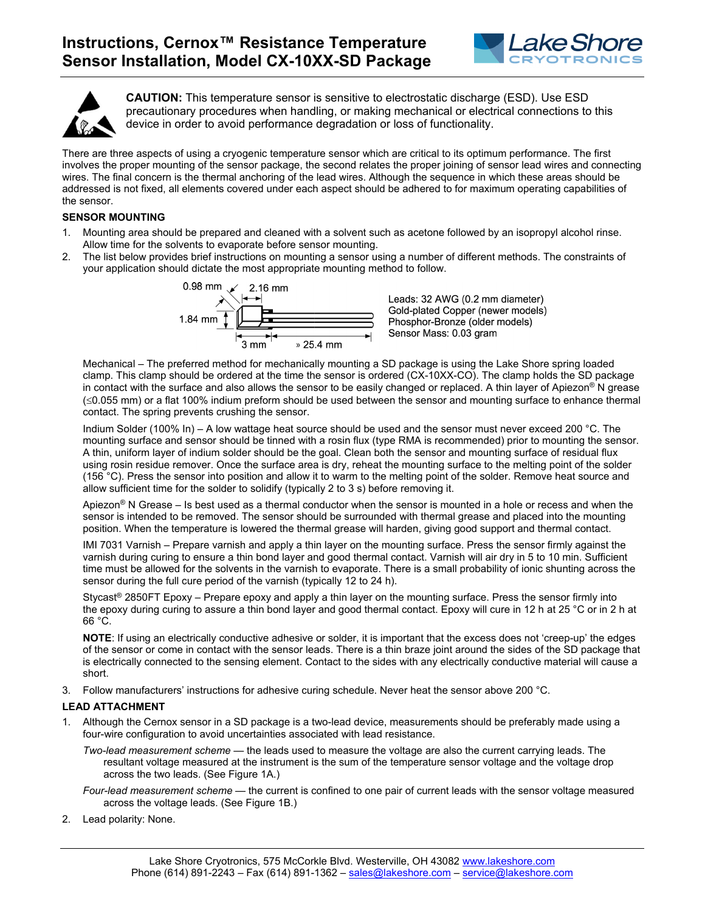



**CAUTION:** This temperature sensor is sensitive to electrostatic discharge (ESD). Use ESD precautionary procedures when handling, or making mechanical or electrical connections to this device in order to avoid performance degradation or loss of functionality.

There are three aspects of using a cryogenic temperature sensor which are critical to its optimum performance. The first involves the proper mounting of the sensor package, the second relates the proper joining of sensor lead wires and connecting wires. The final concern is the thermal anchoring of the lead wires. Although the sequence in which these areas should be addressed is not fixed, all elements covered under each aspect should be adhered to for maximum operating capabilities of the sensor.

## **SENSOR MOUNTING**

- 1. Mounting area should be prepared and cleaned with a solvent such as acetone followed by an isopropyl alcohol rinse. Allow time for the solvents to evaporate before sensor mounting.
- 2. The list below provides brief instructions on mounting a sensor using a number of different methods. The constraints of your application should dictate the most appropriate mounting method to follow.



Leads: 32 AWG (0.2 mm diameter) Gold-plated Copper (newer models) Phosphor-Bronze (older models) Sensor Mass: 0.03 gram

Mechanical – The preferred method for mechanically mounting a SD package is using the Lake Shore spring loaded clamp. This clamp should be ordered at the time the sensor is ordered (CX-10XX-CO). The clamp holds the SD package in contact with the surface and also allows the sensor to be easily changed or replaced. A thin layer of Apiezon® N grease (<0.055 mm) or a flat 100% indium preform should be used between the sensor and mounting surface to enhance thermal contact. The spring prevents crushing the sensor.

Indium Solder (100% In) – A low wattage heat source should be used and the sensor must never exceed 200 °C. The mounting surface and sensor should be tinned with a rosin flux (type RMA is recommended) prior to mounting the sensor. A thin, uniform layer of indium solder should be the goal. Clean both the sensor and mounting surface of residual flux using rosin residue remover. Once the surface area is dry, reheat the mounting surface to the melting point of the solder (156 °C). Press the sensor into position and allow it to warm to the melting point of the solder. Remove heat source and allow sufficient time for the solder to solidify (typically 2 to 3 s) before removing it.

Apiezon<sup>®</sup> N Grease – Is best used as a thermal conductor when the sensor is mounted in a hole or recess and when the sensor is intended to be removed. The sensor should be surrounded with thermal grease and placed into the mounting position. When the temperature is lowered the thermal grease will harden, giving good support and thermal contact.

IMI 7031 Varnish – Prepare varnish and apply a thin layer on the mounting surface. Press the sensor firmly against the varnish during curing to ensure a thin bond layer and good thermal contact. Varnish will air dry in 5 to 10 min. Sufficient time must be allowed for the solvents in the varnish to evaporate. There is a small probability of ionic shunting across the sensor during the full cure period of the varnish (typically 12 to 24 h).

Stycast® 2850FT Epoxy – Prepare epoxy and apply a thin layer on the mounting surface. Press the sensor firmly into the epoxy during curing to assure a thin bond layer and good thermal contact. Epoxy will cure in 12 h at 25 °C or in 2 h at 66 °C.

**NOTE**: If using an electrically conductive adhesive or solder, it is important that the excess does not 'creep-up' the edges of the sensor or come in contact with the sensor leads. There is a thin braze joint around the sides of the SD package that is electrically connected to the sensing element. Contact to the sides with any electrically conductive material will cause a short.

3. Follow manufacturers' instructions for adhesive curing schedule. Never heat the sensor above 200 °C.

## **LEAD ATTACHMENT**

1. Although the Cernox sensor in a SD package is a two-lead device, measurements should be preferably made using a four-wire configuration to avoid uncertainties associated with lead resistance.

*Two-lead measurement scheme* — the leads used to measure the voltage are also the current carrying leads. The resultant voltage measured at the instrument is the sum of the temperature sensor voltage and the voltage drop across the two leads. (See Figure 1A.)

- *Four-lead measurement scheme* the current is confined to one pair of current leads with the sensor voltage measured across the voltage leads. (See Figure 1B.)
- 2. Lead polarity: None.